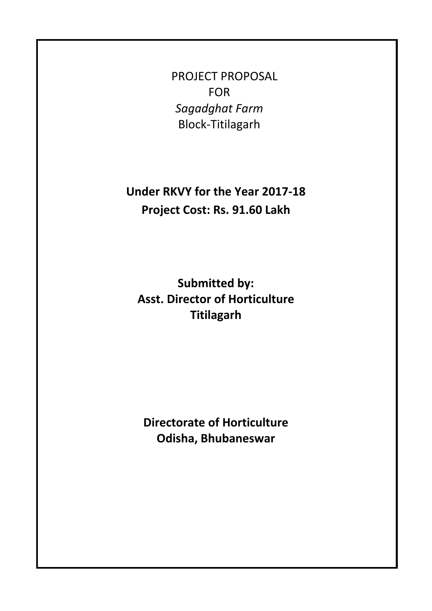PROJECT PROPOSAL FOR *Sagadghat Farm*  Block‐Titilagarh

**Under RKVY for the Year 2017‐18 Project Cost: Rs. 91.60 Lakh**

**Submitted by: Asst. Director of Horticulture Titilagarh**

**Directorate of Horticulture Odisha, Bhubaneswar**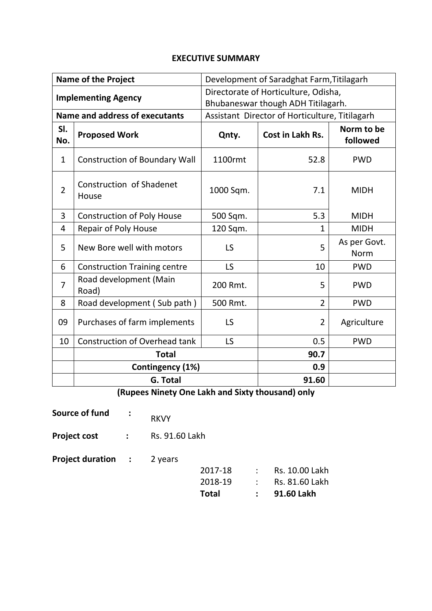### **EXECUTIVE SUMMARY**

| <b>Name of the Project</b> |                                       | Development of Saradghat Farm, Titilagarh                                  |                                                |                      |  |
|----------------------------|---------------------------------------|----------------------------------------------------------------------------|------------------------------------------------|----------------------|--|
| <b>Implementing Agency</b> |                                       | Directorate of Horticulture, Odisha,<br>Bhubaneswar though ADH Titilagarh. |                                                |                      |  |
|                            | <b>Name and address of executants</b> |                                                                            | Assistant Director of Horticulture, Titilagarh |                      |  |
| SI.<br>No.                 | <b>Proposed Work</b>                  | Qnty.                                                                      | Norm to be<br>followed                         |                      |  |
| $\mathbf{1}$               | <b>Construction of Boundary Wall</b>  | 1100rmt                                                                    | 52.8                                           | <b>PWD</b>           |  |
| $\overline{2}$             | Construction of Shadenet<br>House     | 1000 Sqm.                                                                  | 7.1                                            | <b>MIDH</b>          |  |
| 3                          | <b>Construction of Poly House</b>     | 500 Sqm.                                                                   | 5.3                                            | <b>MIDH</b>          |  |
| 4                          | <b>Repair of Poly House</b>           | 120 Sqm.                                                                   | $\mathbf{1}$                                   | <b>MIDH</b>          |  |
| 5                          | New Bore well with motors             | LS                                                                         | 5                                              | As per Govt.<br>Norm |  |
| 6                          | <b>Construction Training centre</b>   | <b>LS</b>                                                                  | 10                                             | <b>PWD</b>           |  |
| $\overline{7}$             | Road development (Main<br>Road)       | 200 Rmt.                                                                   | 5                                              | <b>PWD</b>           |  |
| 8                          | Road development (Sub path)           | 500 Rmt.                                                                   | $\overline{2}$                                 | <b>PWD</b>           |  |
| 09                         | Purchases of farm implements          | <b>LS</b>                                                                  | $\overline{2}$                                 | Agriculture          |  |
| 10                         | <b>Construction of Overhead tank</b>  | LS                                                                         | 0.5                                            | <b>PWD</b>           |  |
| <b>Total</b>               |                                       |                                                                            | 90.7                                           |                      |  |
|                            | Contingency (1%)                      |                                                                            | 0.9                                            |                      |  |
| <b>G. Total</b>            |                                       |                                                                            | 91.60                                          |                      |  |

**(Rupees Ninety One Lakh and Sixty thousand) only**

- **Source of fund :** RKVY
- **Project cost :** Rs. 91.60 Lakh

**Project duration :** 2 years

| Total |         | $: 91.60$ Lakh           |
|-------|---------|--------------------------|
|       | 2018-19 | : Rs. 81.60 Lakh         |
|       |         | 2017-18 : Rs. 10.00 Lakh |
|       |         |                          |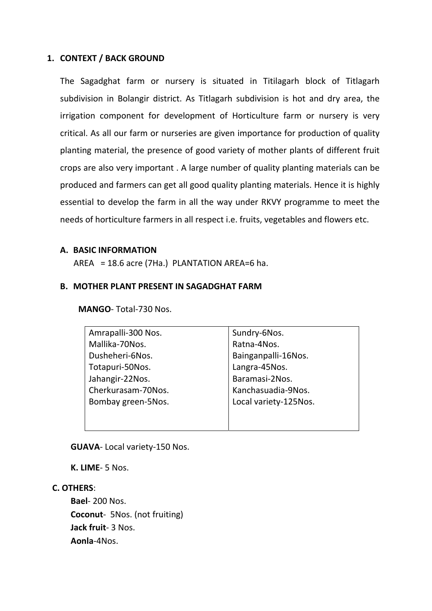#### **1. CONTEXT / BACK GROUND**

The Sagadghat farm or nursery is situated in Titilagarh block of Titlagarh subdivision in Bolangir district. As Titlagarh subdivision is hot and dry area, the irrigation component for development of Horticulture farm or nursery is very critical. As all our farm or nurseries are given importance for production of quality planting material, the presence of good variety of mother plants of different fruit crops are also very important . A large number of quality planting materials can be produced and farmers can get all good quality planting materials. Hence it is highly essential to develop the farm in all the way under RKVY programme to meet the needs of horticulture farmers in all respect i.e. fruits, vegetables and flowers etc.

#### **A. BASIC INFORMATION**

AREA =  $18.6$  acre (7Ha.) PLANTATION AREA=6 ha.

#### **B. MOTHER PLANT PRESENT IN SAGADGHAT FARM**

**MANGO**‐ Total‐730 Nos.

**GUAVA**‐ Local variety‐150 Nos.

**K. LIME**‐ 5 Nos.

#### **C. OTHERS**:

**Bael**‐ 200 Nos. **Coconut**‐ 5Nos. (not fruiting) **Jack fruit**‐ 3 Nos. **Aonla**‐4Nos.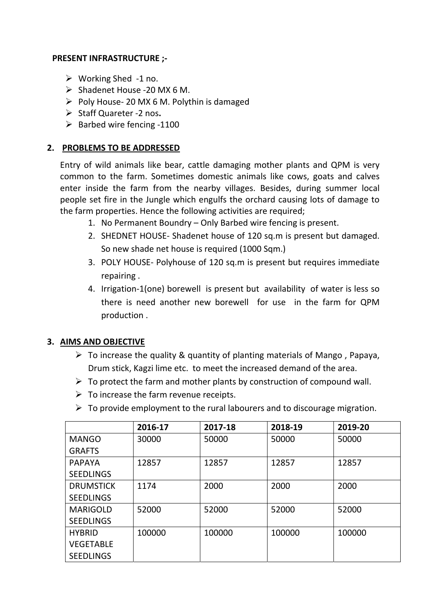# **PRESENT INFRASTRUCTURE ;‐**

- $\triangleright$  Working Shed -1 no.
- ¾ Shadenet House ‐20 MX 6 M.
- ¾ Poly House‐ 20 MX 6 M. Polythin is damaged
- ¾ Staff Quareter ‐2 nos**.**
- $\triangleright$  Barbed wire fencing -1100

## **2. PROBLEMS TO BE ADDRESSED**

Entry of wild animals like bear, cattle damaging mother plants and QPM is very common to the farm. Sometimes domestic animals like cows, goats and calves enter inside the farm from the nearby villages. Besides, during summer local people set fire in the Jungle which engulfs the orchard causing lots of damage to the farm properties. Hence the following activities are required;

- 1. No Permanent Boundry Only Barbed wire fencing is present.
- 2. SHEDNET HOUSE-Shadenet house of 120 sq.m is present but damaged. So new shade net house is required (1000 Sqm.)
- 3. POLY HOUSE‐ Polyhouse of 120 sq.m is present but requires immediate repairing .
- 4. Irrigation‐1(one) borewell is present but availability of water is less so there is need another new borewell for use in the farm for QPM production .

## **3. AIMS AND OBJECTIVE**

- $\triangleright$  To increase the quality & quantity of planting materials of Mango, Papaya, Drum stick, Kagzi lime etc. to meet the increased demand of the area.
- $\triangleright$  To protect the farm and mother plants by construction of compound wall.
- $\triangleright$  To increase the farm revenue receipts.
- $\triangleright$  To provide employment to the rural labourers and to discourage migration.

|                  | 2016-17 | 2017-18 | 2018-19 | 2019-20 |
|------------------|---------|---------|---------|---------|
| <b>MANGO</b>     | 30000   | 50000   | 50000   | 50000   |
| <b>GRAFTS</b>    |         |         |         |         |
| <b>PAPAYA</b>    | 12857   | 12857   | 12857   | 12857   |
| <b>SEEDLINGS</b> |         |         |         |         |
| <b>DRUMSTICK</b> | 1174    | 2000    | 2000    | 2000    |
| <b>SEEDLINGS</b> |         |         |         |         |
| <b>MARIGOLD</b>  | 52000   | 52000   | 52000   | 52000   |
| <b>SEEDLINGS</b> |         |         |         |         |
| <b>HYBRID</b>    | 100000  | 100000  | 100000  | 100000  |
| <b>VEGETABLE</b> |         |         |         |         |
| <b>SEEDLINGS</b> |         |         |         |         |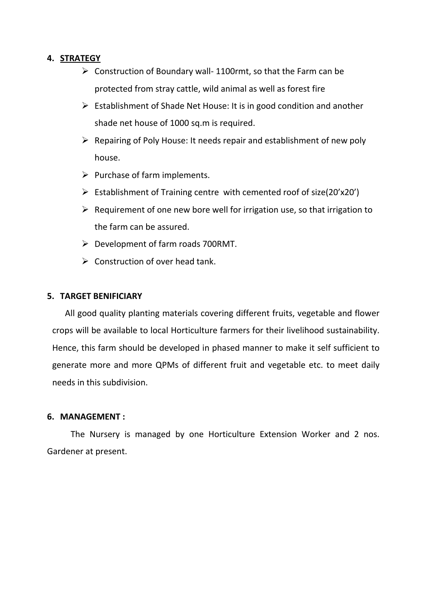## **4. STRATEGY**

- $\triangleright$  Construction of Boundary wall-1100rmt, so that the Farm can be protected from stray cattle, wild animal as well as forest fire
- $\triangleright$  Establishment of Shade Net House: It is in good condition and another shade net house of 1000 sq.m is required.
- $\triangleright$  Repairing of Poly House: It needs repair and establishment of new poly house.
- $\triangleright$  Purchase of farm implements.
- ¾ Establishment of Training centre with cemented roof of size(20'x20')
- $\triangleright$  Requirement of one new bore well for irrigation use, so that irrigation to the farm can be assured.
- $\triangleright$  Development of farm roads 700RMT.
- $\triangleright$  Construction of over head tank.

### **5. TARGET BENIFICIARY**

 All good quality planting materials covering different fruits, vegetable and flower crops will be available to local Horticulture farmers for their livelihood sustainability. Hence, this farm should be developed in phased manner to make it self sufficient to generate more and more QPMs of different fruit and vegetable etc. to meet daily needs in this subdivision.

### **6. MANAGEMENT :**

The Nursery is managed by one Horticulture Extension Worker and 2 nos. Gardener at present.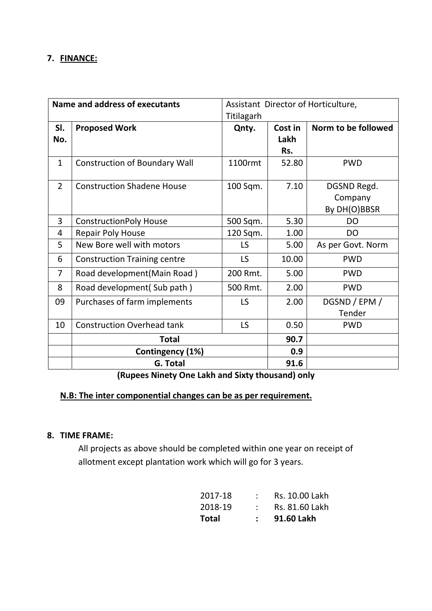## **7. FINANCE:**

| Name and address of executants |                                      | Assistant Director of Horticulture, |         |                     |
|--------------------------------|--------------------------------------|-------------------------------------|---------|---------------------|
|                                |                                      | Titilagarh                          |         |                     |
| SI.                            | <b>Proposed Work</b>                 | Qnty.                               | Cost in | Norm to be followed |
| No.                            |                                      |                                     | Lakh    |                     |
|                                |                                      |                                     | Rs.     |                     |
| $\mathbf{1}$                   | <b>Construction of Boundary Wall</b> | 1100rmt                             | 52.80   | <b>PWD</b>          |
| $\overline{2}$                 | <b>Construction Shadene House</b>    | 100 Sqm.                            | 7.10    | DGSND Regd.         |
|                                |                                      |                                     |         | Company             |
|                                |                                      |                                     |         | By DH(O)BBSR        |
| 3                              | <b>ConstructionPoly House</b>        | 500 Sqm.                            | 5.30    | <b>DO</b>           |
| 4                              | <b>Repair Poly House</b>             | 120 Sqm.                            | 1.00    | <b>DO</b>           |
| 5                              | New Bore well with motors            | LS                                  | 5.00    | As per Govt. Norm   |
| 6                              | <b>Construction Training centre</b>  | LS                                  | 10.00   | <b>PWD</b>          |
| $\overline{7}$                 | Road development (Main Road)         | 200 Rmt.                            | 5.00    | <b>PWD</b>          |
| 8                              | Road development (Sub path)          | 500 Rmt.                            | 2.00    | <b>PWD</b>          |
| 09                             | Purchases of farm implements         | LS                                  | 2.00    | DGSND / EPM /       |
|                                |                                      |                                     |         | Tender              |
| 10                             | <b>Construction Overhead tank</b>    | LS                                  | 0.50    | <b>PWD</b>          |
|                                | <b>Total</b>                         |                                     |         |                     |
|                                | Contingency (1%)                     |                                     | 0.9     |                     |
|                                | <b>G. Total</b>                      |                                     | 91.6    |                     |

**(Rupees Ninety One Lakh and Sixty thousand) only**

# **N.B: The inter componential changes can be as per requirement.**

## **8. TIME FRAME:**

All projects as above should be completed within one year on receipt of allotment except plantation work which will go for 3 years.

| Total   | :  91.60 Lakh    |
|---------|------------------|
| 2018-19 | : Rs. 81.60 Lakh |
| 2017-18 | : Rs. 10.00 Lakh |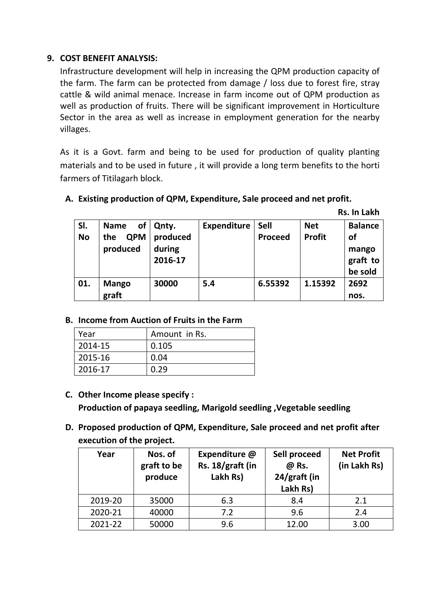# **9. COST BENEFIT ANALYSIS:**

Infrastructure development will help in increasing the QPM production capacity of the farm. The farm can be protected from damage / loss due to forest fire, stray cattle & wild animal menace. Increase in farm income out of QPM production as well as production of fruits. There will be significant improvement in Horticulture Sector in the area as well as increase in employment generation for the nearby villages.

As it is a Govt. farm and being to be used for production of quality planting materials and to be used in future , it will provide a long term benefits to the horti farmers of Titilagarh block.

# **A. Existing production of QPM, Expenditure, Sale proceed and net profit.**

**Rs. In Lakh**

| SI.<br><b>No</b> | οf<br><b>Name</b><br><b>QPM</b><br>the | Qnty.<br>produced | <b>Expenditure</b> | <b>Sell</b><br><b>Proceed</b> | <b>Net</b><br><b>Profit</b> | <b>Balance</b><br><b>of</b>  |
|------------------|----------------------------------------|-------------------|--------------------|-------------------------------|-----------------------------|------------------------------|
|                  | produced                               | during<br>2016-17 |                    |                               |                             | mango<br>graft to<br>be sold |
| 01.              | <b>Mango</b><br>graft                  | 30000             | 5.4                | 6.55392                       | 1.15392                     | 2692<br>nos.                 |

# **B. Income from Auction of Fruits in the Farm**

| Year    | Amount in Rs. |
|---------|---------------|
| 2014-15 | 0.105         |
| 2015-16 | 0.04          |
| 2016-17 | 0.29          |

- **C. Other Income please specify : Production of papaya seedling, Marigold seedling ,Vegetable seedling**
- **D. Proposed production of QPM, Expenditure, Sale proceed and net profit after execution of the project.**

| Year    | Nos. of<br>graft to be<br>produce | Expenditure @<br>Rs. 18/graft (in<br>Lakh Rs) | Sell proceed<br>@ Rs.<br>24/graft (in<br>Lakh Rs) | <b>Net Profit</b><br>(in Lakh Rs) |
|---------|-----------------------------------|-----------------------------------------------|---------------------------------------------------|-----------------------------------|
| 2019-20 | 35000                             | 6.3                                           | 8.4                                               | 2.1                               |
| 2020-21 | 40000                             | 7.2                                           | 9.6                                               | 2.4                               |
| 2021-22 | 50000                             | 9.6                                           | 12.00                                             | 3.00                              |